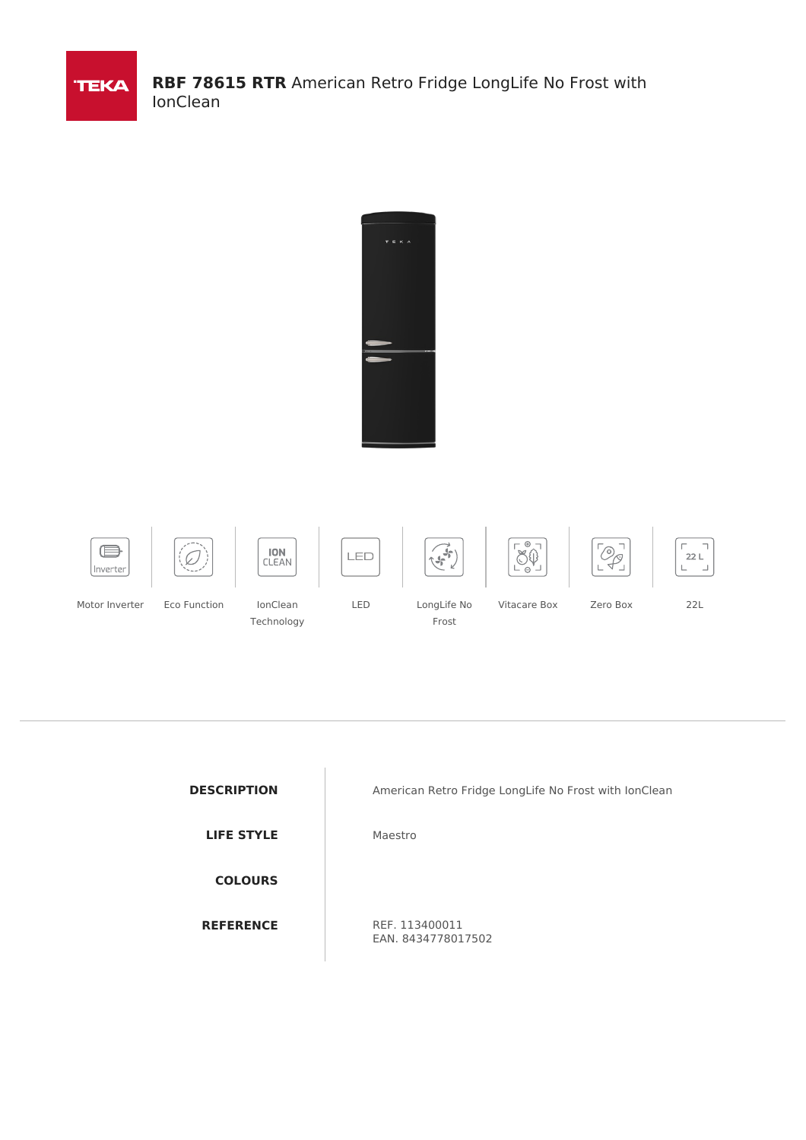





**DESCRIPTION** American Retro Fridge LongLife No Frost with IonClean

EAN. 8434778017502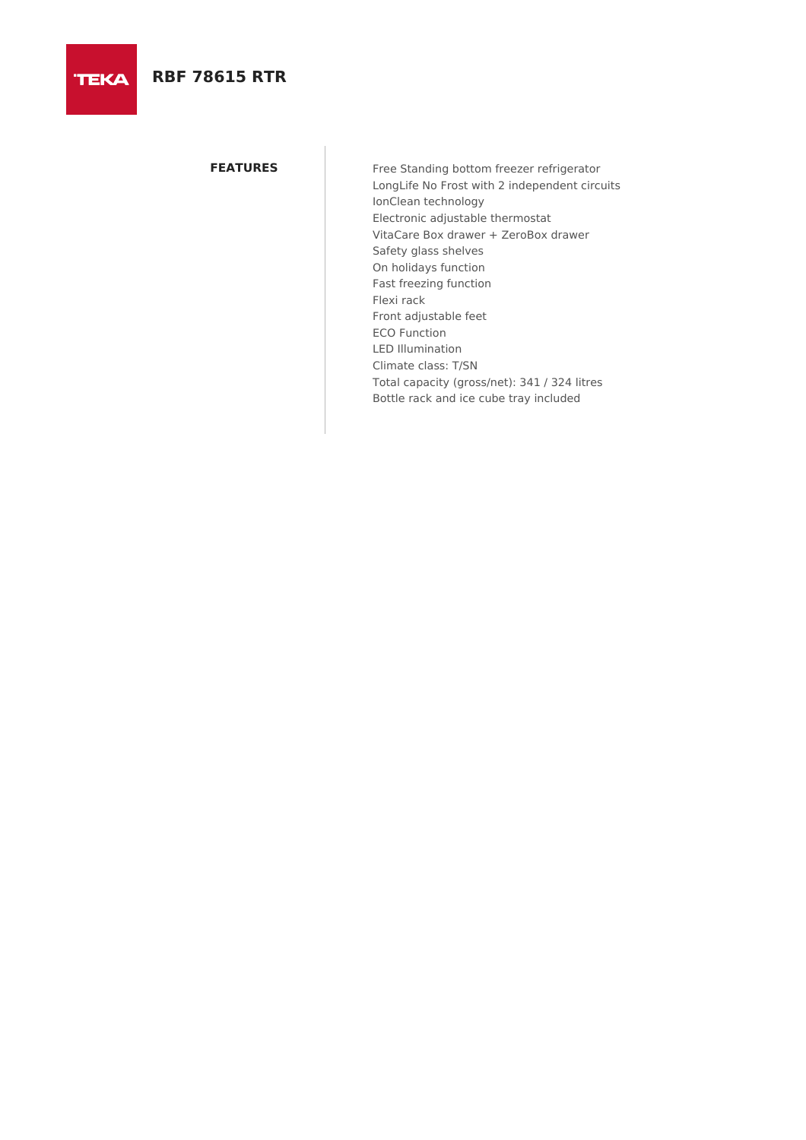**TEKA** 

**FEATURES** Free Standing bottom freezer refrigerator LongLife No Frost with 2 independent circuits IonClean technology Electronic adjustable thermostat VitaCare Box drawer + ZeroBox drawer Safety glass shelves On holidays function Fast freezing function Flexi rack Front adjustable feet ECO Function LED Illumination Climate class: T/SN Total capacity (gross/net): 341 / 324 litres Bottle rack and ice cube tray included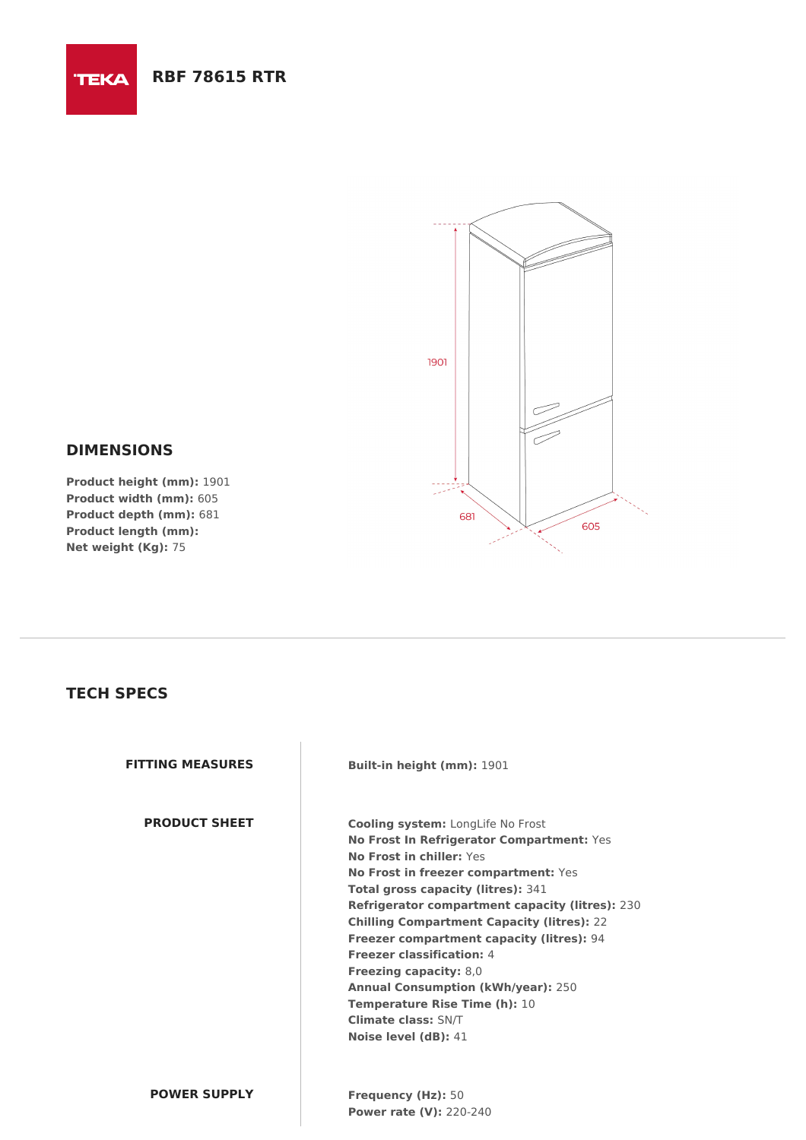

## **DIMENSIONS**

**TEKA** 

**Product height (mm):** 1901 **Product width (mm):** 605 **Product depth (mm):** 681 **Product length (mm): Net weight (Kg):** 75

## **TECH SPECS**

**FITTING MEASURES Built-in height (mm):** 1901

**PRODUCT SHEET Cooling system:** LongLife No Frost **No Frost In Refrigerator Compartment:** Yes **No Frost in chiller:** Yes **No Frost in freezer compartment:** Yes **Total gross capacity (litres):** 341 **Refrigerator compartment capacity (litres):** 230 **Chilling Compartment Capacity (litres):** 22 **Freezer compartment capacity (litres):** 94 **Freezer classification:** 4 **Freezing capacity:** 8,0 **Annual Consumption (kWh/year):** 250 **Temperature Rise Time (h):** 10 **Climate class:** SN/T **Noise level (dB):** 41

**POWER SUPPLY Frequency (Hz):** 50 **Power rate (V):** 220-240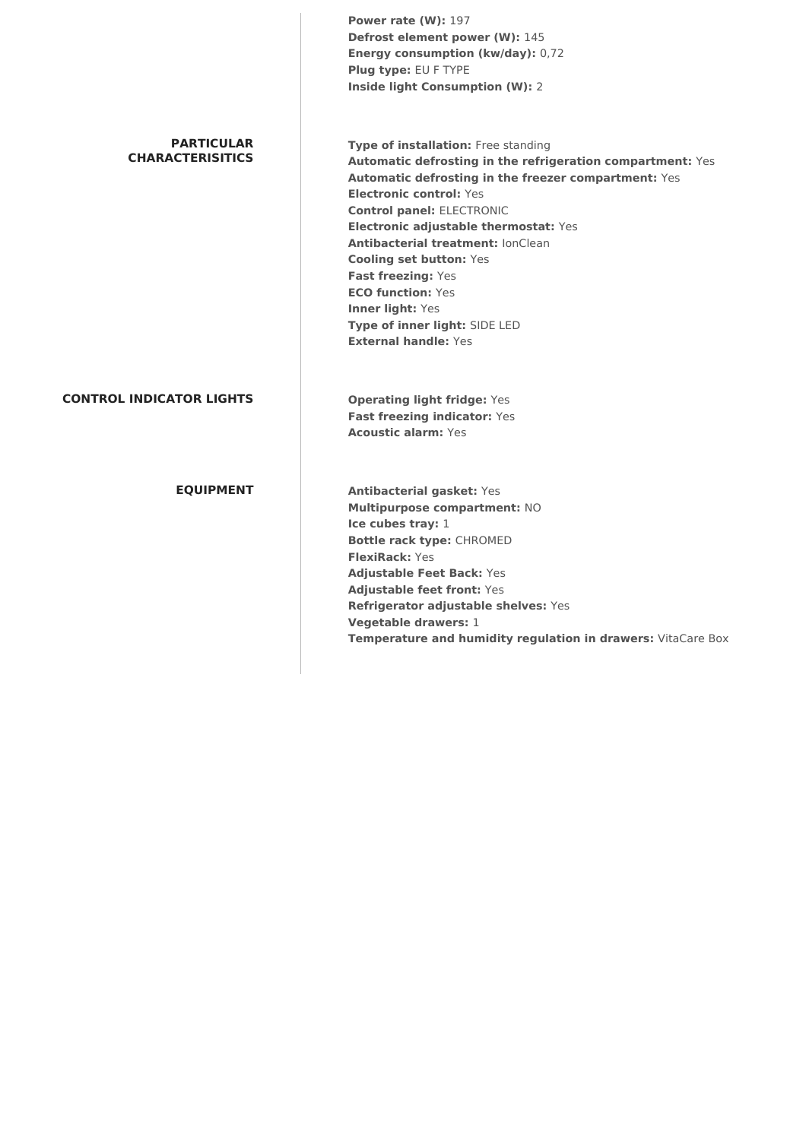|                                              | <b>Power rate (W): 197</b>                                   |
|----------------------------------------------|--------------------------------------------------------------|
|                                              | Defrost element power (W): 145                               |
|                                              | Energy consumption (kw/day): 0,72                            |
|                                              | Plug type: EU F TYPE                                         |
|                                              | <b>Inside light Consumption (W): 2</b>                       |
| <b>PARTICULAR</b><br><b>CHARACTERISITICS</b> | Type of installation: Free standing                          |
|                                              | Automatic defrosting in the refrigeration compartment: Yes   |
|                                              | Automatic defrosting in the freezer compartment: Yes         |
|                                              | <b>Electronic control: Yes</b>                               |
|                                              | <b>Control panel: ELECTRONIC</b>                             |
|                                              | Electronic adjustable thermostat: Yes                        |
|                                              | Antibacterial treatment: IonClean                            |
|                                              | <b>Cooling set button: Yes</b>                               |
|                                              | Fast freezing: Yes                                           |
|                                              | <b>ECO function: Yes</b>                                     |
|                                              | Inner light: Yes                                             |
|                                              | Type of inner light: SIDE LED                                |
|                                              | <b>External handle: Yes</b>                                  |
| <b>CONTROL INDICATOR LIGHTS</b>              | <b>Operating light fridge: Yes</b>                           |
|                                              | Fast freezing indicator: Yes                                 |
|                                              | <b>Acoustic alarm: Yes</b>                                   |
| <b>EQUIPMENT</b>                             | <b>Antibacterial gasket: Yes</b>                             |
|                                              | Multipurpose compartment: NO                                 |
|                                              | Ice cubes tray: 1                                            |
|                                              | <b>Bottle rack type: CHROMED</b>                             |
|                                              | <b>FlexiRack: Yes</b>                                        |
|                                              | <b>Adjustable Feet Back: Yes</b>                             |
|                                              | Adjustable feet front: Yes                                   |
|                                              | Refrigerator adjustable shelves: Yes                         |
|                                              | Vegetable drawers: 1                                         |
|                                              | Temperature and humidity regulation in drawers: VitaCare Box |